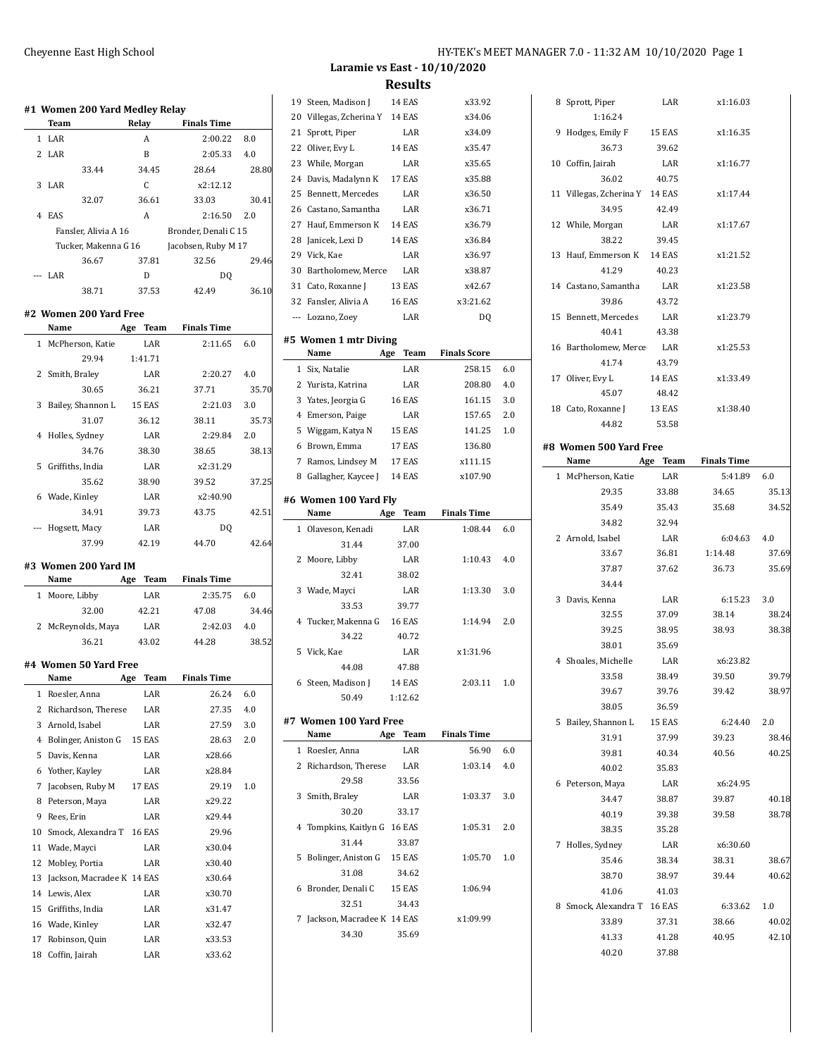|              | <b>Team</b>                             | Relay                | <b>Finals Time</b>   |       |
|--------------|-----------------------------------------|----------------------|----------------------|-------|
|              | 1 LAR                                   | A                    | 2:00.22              | 8.0   |
|              | 2 LAR                                   | B                    | 2:05.33              | 4.0   |
|              | 33.44                                   | 34.45                | 28.64                | 28.80 |
| 3            | LAR                                     | C                    | x2:12.12             |       |
|              | 32.07                                   | 36.61                | 33.03                | 30.41 |
|              | 4 EAS                                   | $\mathbf{A}$         | 2:16.50 2.0          |       |
|              | Fansler, Alivia A 16                    |                      | Bronder, Denali C 15 |       |
|              | Tucker, Makenna G 16                    |                      | Jacobsen, Ruby M 17  |       |
|              | 36.67                                   | 37.81                | 32.56                | 29.46 |
|              | --- LAR                                 | D                    | D <sub>0</sub>       |       |
|              | 38.71                                   | 37.53                | 42.49                | 36.10 |
|              |                                         |                      |                      |       |
|              | #2 Women 200 Yard Free                  |                      |                      |       |
|              | Name Age Team Finals Time               |                      |                      |       |
| $\mathbf{1}$ | McPherson, Katie                        | LAR                  | 2:11.65              | 6.0   |
|              | 29.94                                   | 1:41.71              |                      |       |
|              | 2 Smith, Braley                         | LAR                  | 2:20.27              | 4.0   |
|              | 30.65                                   | 36.21                | 37.71                | 35.70 |
|              | 3 Bailey, Shannon L                     | <b>15 EAS</b>        | 2:21.03              | 3.0   |
|              | 31.07                                   | 36.12                | 38.11                | 35.73 |
|              | 4 Holles, Sydney                        | LAR                  | 2:29.84              | 2.0   |
|              | 34.76                                   | 38.30                | 38.65                | 38.13 |
|              | 5 Griffiths, India                      | LAR                  | x2:31.29             |       |
|              | 35.62                                   | 38.90                | 39.52                | 37.25 |
|              | 6 Wade, Kinley                          | LAR                  | x2:40.90             |       |
|              | 34.91                                   | 39.73                | 43.75                | 42.51 |
|              | Hogsett, Macy                           | LAR                  | D <sub>0</sub>       |       |
|              | 37.99                                   | 42.19                | 44.70                | 42.64 |
|              | #3 Women 200 Yard IM                    |                      |                      |       |
|              | Name                                    | Age Team             | <b>Finals Time</b>   |       |
|              | 1 Moore, Libby                          | LAR                  | 2:35.75              | 6.0   |
|              | 32.00                                   | 42.21                | 47.08                | 34.46 |
|              | 2 McReynolds, Maya                      | LAR                  | 2:42.03              | 4.0   |
|              | 36.21                                   | 43.02                | 44.28                | 38.52 |
|              |                                         |                      |                      |       |
|              | #4 Women 50 Yard Free                   |                      |                      |       |
| 1            | Name                                    | Age<br>Team<br>LAR   | Finals Time<br>26.24 | 6.0   |
|              | Roesler, Anna<br>2 Richardson, Therese  | LAR                  | 27.35                | 4.0   |
|              | 3 Arnold, Isabel                        |                      |                      |       |
|              |                                         | LAR<br>15 EAS        | 27.59                | 3.0   |
| 5            | 4 Bolinger, Aniston G<br>Davis, Kenna   | LAR                  | 28.63<br>x28.66      | 2.0   |
|              |                                         |                      |                      |       |
|              | 6 Yother, Kayley                        | LAR                  | x28.84               |       |
| 7            | Jacobsen, Ruby M                        | 17 EAS               | 29.19                | 1.0   |
|              | 8 Peterson, Maya                        | LAR                  | x29.22               |       |
|              |                                         |                      |                      |       |
|              | 9 Rees, Erin                            | LAR                  | x29.44               |       |
|              | 10 Smock, Alexandra T<br>11 Wade, Mayci | <b>16 EAS</b><br>LAR | 29.96<br>x30.04      |       |

 Mobley, Portia LAR x30.40 13 Jackson, Macradee K 14 EAS x30.64 Lewis, Alex LAR x30.70 Griffiths, India LAR x31.47 16 Wade, Kinley LAR x32.47 Robinson, Quin LAR x33.53 Coffin, Jairah LAR x33.62

 $\overline{\phantom{0}}$ 

**Laramie vs East - 10/10/2020 Results**

| 19 | Steen, Madison J                       | 14 EAS           | x33.92              |     |  |  |  |
|----|----------------------------------------|------------------|---------------------|-----|--|--|--|
|    | 20 Villegas, Zcherina Y 14 EAS         |                  | x34.06              |     |  |  |  |
|    | 21 Sprott, Piper                       | LAR              | x34.09              |     |  |  |  |
|    | 22 Oliver, Evy L                       | 14 EAS           | x35.47              |     |  |  |  |
|    | 23 While, Morgan                       | LAR              | x35.65              |     |  |  |  |
|    | 24 Davis, Madalynn K                   | 17 EAS           | x35.88              |     |  |  |  |
| 25 | Bennett, Mercedes                      | LAR              | x36.50              |     |  |  |  |
| 26 | Castano, Samantha                      | LAR              | x36.71              |     |  |  |  |
| 27 | Hauf, Emmerson K                       | 14 EAS           | x36.79              |     |  |  |  |
|    | 28 Janicek, Lexi D                     | 14 EAS           | x36.84              |     |  |  |  |
|    | 29 Vick, Kae                           | LAR              | x36.97              |     |  |  |  |
|    | 30 Bartholomew, Merce LAR              |                  | x38.87              |     |  |  |  |
|    | 31 Cato, Roxanne J                     | 13 EAS           | x42.67              |     |  |  |  |
|    | 32 Fansler, Alivia A                   | 16 EAS           | x3:21.62            |     |  |  |  |
|    | --- Lozano, Zoey                       | LAR              | DQ                  |     |  |  |  |
|    |                                        |                  |                     |     |  |  |  |
|    | #5 Women 1 mtr Diving<br>Name          | Age Team         | <b>Finals Score</b> |     |  |  |  |
|    | 1 Six. Natalie                         | LAR              | 258.15              | 6.0 |  |  |  |
|    | 2 Yurista, Katrina                     | LAR              | 208.80              | 4.0 |  |  |  |
|    |                                        | <b>16 EAS</b>    | 161.15              | 3.0 |  |  |  |
|    | 3 Yates, Jeorgia G<br>4 Emerson, Paige |                  |                     |     |  |  |  |
|    |                                        | LAR              | 157.65              | 2.0 |  |  |  |
|    | 5 Wiggam, Katya N                      | 15 EAS<br>17 EAS | 141.25              | 1.0 |  |  |  |
|    | 6 Brown, Emma                          |                  | 136.80<br>x111.15   |     |  |  |  |
|    | 7 Ramos, Lindsey M                     | 17 EAS           |                     |     |  |  |  |
|    | 8 Gallagher, Kaycee J 14 EAS           |                  | x107.90             |     |  |  |  |
|    | #6 Women 100 Yard Fly                  |                  |                     |     |  |  |  |
|    | Name                                   | Age Team         | <b>Finals Time</b>  |     |  |  |  |
|    |                                        |                  |                     |     |  |  |  |
| 1  | Olaveson, Kenadi                       | LAR              | 1:08.44             | 6.0 |  |  |  |
|    | 31.44                                  | 37.00            |                     |     |  |  |  |
| 2  | Moore, Libby                           | LAR              | 1:10.43             | 4.0 |  |  |  |
|    | 32.41                                  | 38.02            |                     |     |  |  |  |
| 3  | Wade, Mayci                            | LAR              | 1:13.30             | 3.0 |  |  |  |
|    | 33.53                                  | 39.77            |                     |     |  |  |  |
| 4  | Tucker, Makenna G                      | <b>16 EAS</b>    | 1:14.94             | 2.0 |  |  |  |
|    | 34.22                                  | 40.72            |                     |     |  |  |  |
| 5  | Vick, Kae                              | LAR              | x1:31.96            |     |  |  |  |
|    | 44.08                                  | 47.88            |                     |     |  |  |  |
| 6  | Steen, Madison J                       | 14 EAS           | 2:03.11             | 1.0 |  |  |  |
|    | 50.49                                  | 1:12.62          |                     |     |  |  |  |
|    | #7 Women 100 Yard Free                 |                  |                     |     |  |  |  |
|    | Name                                   | Age Team         | <b>Finals Time</b>  |     |  |  |  |
|    | 1 Roesler, Anna                        | LAR              | 56.90               | 6.0 |  |  |  |
|    | 2 Richardson, Therese                  | LAR              | 1:03.14             | 4.0 |  |  |  |
|    | 29.58                                  | 33.56            |                     |     |  |  |  |
| 3  | Smith, Braley                          | LAR              | 1:03.37             | 3.0 |  |  |  |
|    | 30.20                                  | 33.17            |                     |     |  |  |  |
| 4  | Tompkins, Kaitlyn G 16 EAS             |                  | 1:05.31             | 2.0 |  |  |  |
|    | 31.44                                  | 33.87            |                     |     |  |  |  |
| 5  | Bolinger, Aniston G 15 EAS             |                  | 1:05.70             | 1.0 |  |  |  |
|    | 31.08                                  | 34.62            |                     |     |  |  |  |
| 6  | Bronder, Denali C 15 EAS               |                  | 1:06.94             |     |  |  |  |
|    | 32.51                                  | 34.43            |                     |     |  |  |  |
| 7  | Jackson, Macradee K 14 EAS             |                  | x1:09.99            |     |  |  |  |

| 8 Sprott, Piper                | LAR      | x1:16.03          |       |
|--------------------------------|----------|-------------------|-------|
| 1:16.24                        |          |                   |       |
| 9 Hodges, Emily F              | 15 EAS   | x1:16.35          |       |
| 36.73                          | 39.62    |                   |       |
| 10 Coffin, Jairah              | LAR      | x1:16.77          |       |
| 36.02                          | 40.75    |                   |       |
| 11 Villegas, Zcherina Y 14 EAS |          | x1:17.44          |       |
| 34.95                          | 42.49    |                   |       |
| 12 While, Morgan               | LAR      | x1:17.67          |       |
| 38.22                          | 39.45    |                   |       |
| 13 Hauf, Emmerson K 14 EAS     |          | x1:21.52          |       |
| 41.29                          | 40.23    |                   |       |
| 14 Castano, Samantha           | LAR      | x1:23.58          |       |
| 39.86                          | 43.72    |                   |       |
| 15 Bennett, Mercedes           | LAR      | x1:23.79          |       |
| 40.41                          | 43.38    |                   |       |
|                                |          |                   |       |
| 16 Bartholomew, Merce          | LAR      | x1:25.53          |       |
| 41.74                          | 43.79    |                   |       |
| 17 Oliver, Evy L               | 14 EAS   | x1:33.49          |       |
| 45.07                          | 48.42    |                   |       |
| 18 Cato, Roxanne J 13 EAS      |          | x1:38.40          |       |
| 44.82                          | 53.58    |                   |       |
| #8 Women 500 Yard Free         |          |                   |       |
| Name                           | Age Team | Finals Time       |       |
| 1 McPherson, Katie             | LAR      | 5:41.89           | 6.0   |
| 29.35                          | 33.88    | 34.65             | 35.13 |
| 35.49                          | 35.43    | 35.68             | 34.52 |
| 34.82                          | 32.94    |                   |       |
| 2 Arnold, Isabel               | LAR      | 6:04.63 4.0       |       |
| 33.67                          | 36.81    | 1:14.48           | 37.69 |
| 37.87                          | 37.62    | 36.73             | 35.69 |
| 34.44                          |          |                   |       |
| 3 Davis, Kenna                 | LAR      | $6:15.23$ 3.0     |       |
| 32.55                          | 37.09    | 38.14             | 38.24 |
| 39.25                          | 38.95    | 38.93             | 38.38 |
| 38.01                          | 35.69    |                   |       |
|                                |          |                   |       |
| 4 Shoales, Michelle            | LAR      | x6:23.82<br>39.50 |       |
| 33.58                          | 38.49    |                   | 39.79 |
| 39.67                          | 39.76    | 39.42             | 38.97 |
| 38.05                          | 36.59    |                   |       |
| 5 Bailey, Shannon L 15 EAS     |          | 6:24.40           | 2.0   |
| 31.91                          | 37.99    | 39.23             | 38.46 |
| 39.81                          | 40.34    | 40.56             | 40.25 |
| 40.02                          | 35.83    |                   |       |
| 6 Peterson, Maya               | LAR      | x6:24.95          |       |
| 34.47                          | 38.87    | 39.87             | 40.18 |
| 40.19                          | 39.38    | 39.58             | 38.78 |
| 38.35                          | 35.28    |                   |       |
| 7 Holles, Sydney               | LAR      | x6:30.60          |       |
| 35.46                          | 38.34    | 38.31             | 38.67 |
| 38.70                          | 38.97    | 39.44             | 40.62 |
| 41.06                          | 41.03    |                   |       |
| 8 Smock, Alexandra T 16 EAS    |          | 6:33.62           | 1.0   |
| 33.89                          | 37.31    | 38.66             | 40.02 |
| 41.33                          | 41.28    | 40.95             | 42.10 |
| 40.20                          | 37.88    |                   |       |
|                                |          |                   |       |